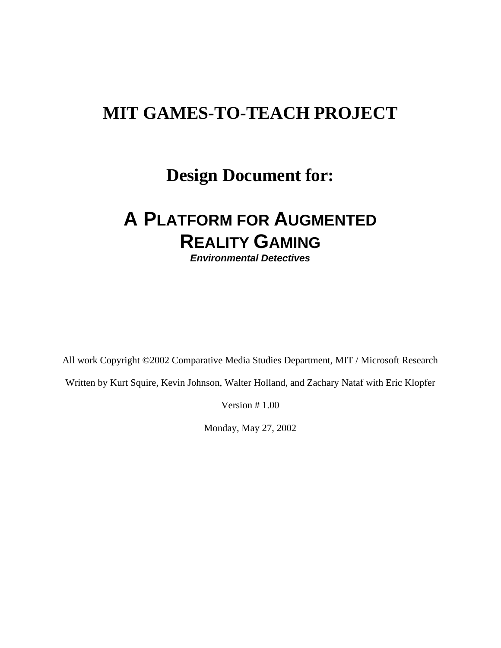## **MIT GAMES-TO-TEACH PROJECT**

**Design Document for:**

# **A PLATFORM FOR AUGMENTED REALITY GAMING**

*Environmental Detectives*

All work Copyright ©2002 Comparative Media Studies Department, MIT / Microsoft Research

Written by Kurt Squire, Kevin Johnson, Walter Holland, and Zachary Nataf with Eric Klopfer

Version # 1.00

Monday, May 27, 2002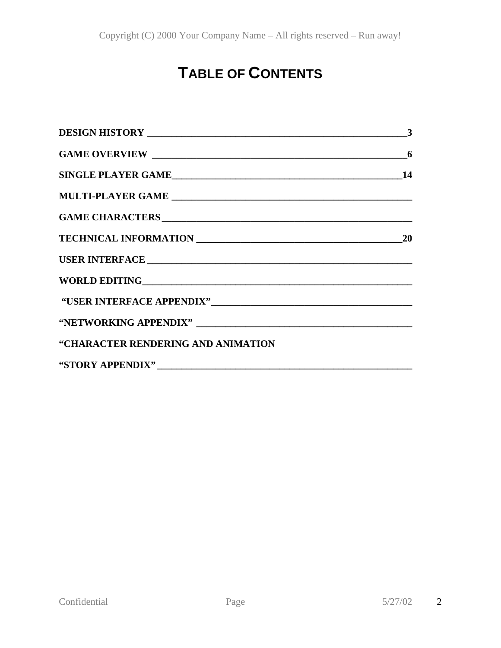## **TABLE OF CONTENTS**

| SINGLE PLAYER GAME                 |  |
|------------------------------------|--|
|                                    |  |
|                                    |  |
|                                    |  |
|                                    |  |
|                                    |  |
|                                    |  |
|                                    |  |
| "CHARACTER RENDERING AND ANIMATION |  |
|                                    |  |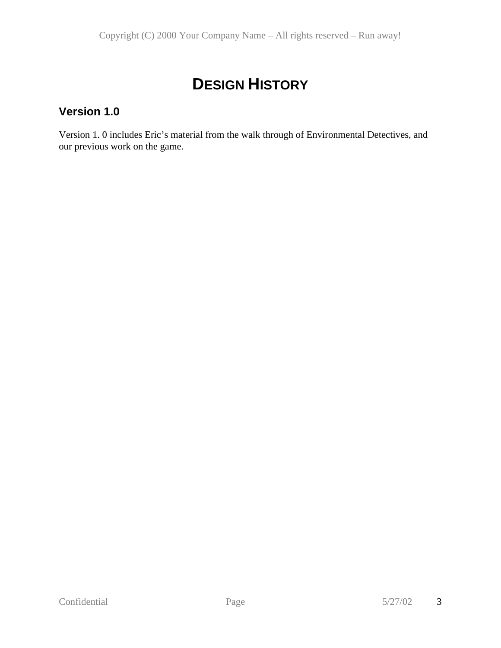## **DESIGN HISTORY**

## **Version 1.0**

Version 1. 0 includes Eric's material from the walk through of Environmental Detectives, and our previous work on the game.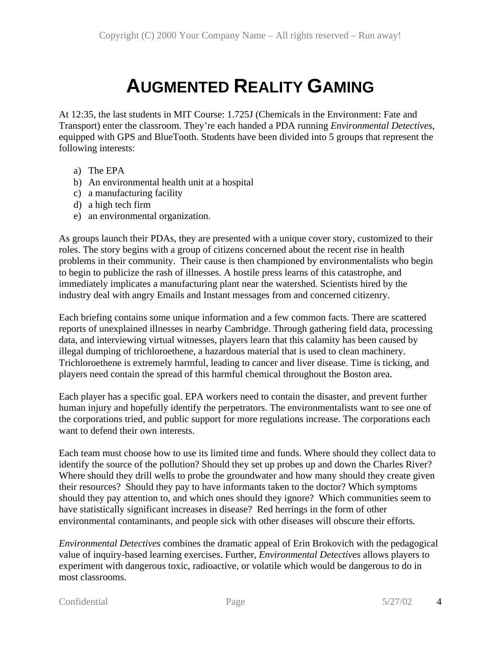## **AUGMENTED REALITY GAMING**

At 12:35, the last students in MIT Course: 1.725J (Chemicals in the Environment: Fate and Transport) enter the classroom. They're each handed a PDA running *Environmental Detectives*, equipped with GPS and BlueTooth. Students have been divided into 5 groups that represent the following interests:

- a) The EPA
- b) An environmental health unit at a hospital
- c) a manufacturing facility
- d) a high tech firm
- e) an environmental organization.

As groups launch their PDAs, they are presented with a unique cover story, customized to their roles. The story begins with a group of citizens concerned about the recent rise in health problems in their community. Their cause is then championed by environmentalists who begin to begin to publicize the rash of illnesses. A hostile press learns of this catastrophe, and immediately implicates a manufacturing plant near the watershed. Scientists hired by the industry deal with angry Emails and Instant messages from and concerned citizenry.

Each briefing contains some unique information and a few common facts. There are scattered reports of unexplained illnesses in nearby Cambridge. Through gathering field data, processing data, and interviewing virtual witnesses, players learn that this calamity has been caused by illegal dumping of trichloroethene, a hazardous material that is used to clean machinery. Trichloroethene is extremely harmful, leading to cancer and liver disease. Time is ticking, and players need contain the spread of this harmful chemical throughout the Boston area.

Each player has a specific goal. EPA workers need to contain the disaster, and prevent further human injury and hopefully identify the perpetrators. The environmentalists want to see one of the corporations tried, and public support for more regulations increase. The corporations each want to defend their own interests.

Each team must choose how to use its limited time and funds. Where should they collect data to identify the source of the pollution? Should they set up probes up and down the Charles River? Where should they drill wells to probe the groundwater and how many should they create given their resources? Should they pay to have informants taken to the doctor? Which symptoms should they pay attention to, and which ones should they ignore? Which communities seem to have statistically significant increases in disease? Red herrings in the form of other environmental contaminants, and people sick with other diseases will obscure their efforts.

*Environmental Detectives* combines the dramatic appeal of Erin Brokovich with the pedagogical value of inquiry-based learning exercises. Further, *Environmental Detectives* allows players to experiment with dangerous toxic, radioactive, or volatile which would be dangerous to do in most classrooms.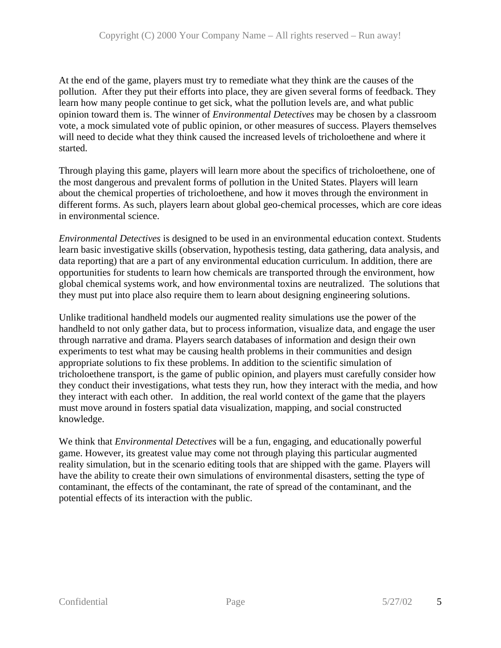At the end of the game, players must try to remediate what they think are the causes of the pollution. After they put their efforts into place, they are given several forms of feedback. They learn how many people continue to get sick, what the pollution levels are, and what public opinion toward them is. The winner of *Environmental Detectives* may be chosen by a classroom vote, a mock simulated vote of public opinion, or other measures of success. Players themselves will need to decide what they think caused the increased levels of tricholoethene and where it started.

Through playing this game, players will learn more about the specifics of tricholoethene, one of the most dangerous and prevalent forms of pollution in the United States. Players will learn about the chemical properties of tricholoethene, and how it moves through the environment in different forms. As such, players learn about global geo-chemical processes, which are core ideas in environmental science.

*Environmental Detectives* is designed to be used in an environmental education context. Students learn basic investigative skills (observation, hypothesis testing, data gathering, data analysis, and data reporting) that are a part of any environmental education curriculum. In addition, there are opportunities for students to learn how chemicals are transported through the environment, how global chemical systems work, and how environmental toxins are neutralized. The solutions that they must put into place also require them to learn about designing engineering solutions.

Unlike traditional handheld models our augmented reality simulations use the power of the handheld to not only gather data, but to process information, visualize data, and engage the user through narrative and drama. Players search databases of information and design their own experiments to test what may be causing health problems in their communities and design appropriate solutions to fix these problems. In addition to the scientific simulation of tricholoethene transport, is the game of public opinion, and players must carefully consider how they conduct their investigations, what tests they run, how they interact with the media, and how they interact with each other. In addition, the real world context of the game that the players must move around in fosters spatial data visualization, mapping, and social constructed knowledge.

We think that *Environmental Detectives* will be a fun, engaging, and educationally powerful game. However, its greatest value may come not through playing this particular augmented reality simulation, but in the scenario editing tools that are shipped with the game. Players will have the ability to create their own simulations of environmental disasters, setting the type of contaminant, the effects of the contaminant, the rate of spread of the contaminant, and the potential effects of its interaction with the public.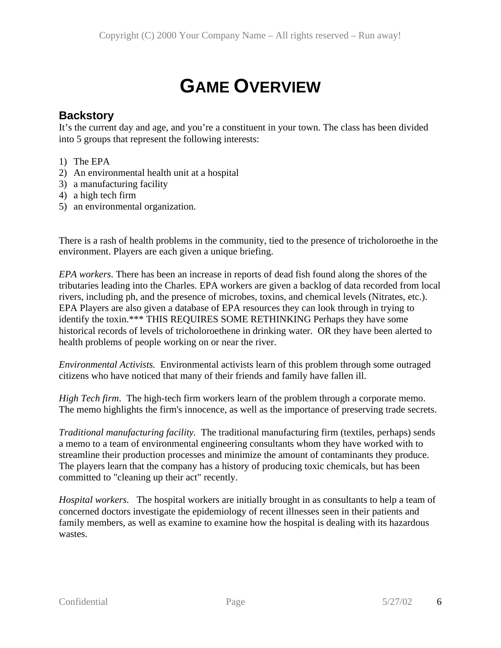# **GAME OVERVIEW**

### **Backstory**

It's the current day and age, and you're a constituent in your town. The class has been divided into 5 groups that represent the following interests:

- 1) The EPA
- 2) An environmental health unit at a hospital
- 3) a manufacturing facility
- 4) a high tech firm
- 5) an environmental organization.

There is a rash of health problems in the community, tied to the presence of tricholoroethe in the environment. Players are each given a unique briefing.

*EPA workers*. There has been an increase in reports of dead fish found along the shores of the tributaries leading into the Charles. EPA workers are given a backlog of data recorded from local rivers, including ph, and the presence of microbes, toxins, and chemical levels (Nitrates, etc.). EPA Players are also given a database of EPA resources they can look through in trying to identify the toxin.\*\*\* THIS REQUIRES SOME RETHINKING Perhaps they have some historical records of levels of tricholoroethene in drinking water. OR they have been alerted to health problems of people working on or near the river.

*Environmental Activists.* Environmental activists learn of this problem through some outraged citizens who have noticed that many of their friends and family have fallen ill.

*High Tech firm*. The high-tech firm workers learn of the problem through a corporate memo. The memo highlights the firm's innocence, as well as the importance of preserving trade secrets.

*Traditional manufacturing facility.* The traditional manufacturing firm (textiles, perhaps) sends a memo to a team of environmental engineering consultants whom they have worked with to streamline their production processes and minimize the amount of contaminants they produce. The players learn that the company has a history of producing toxic chemicals, but has been committed to "cleaning up their act" recently.

*Hospital workers.* The hospital workers are initially brought in as consultants to help a team of concerned doctors investigate the epidemiology of recent illnesses seen in their patients and family members, as well as examine to examine how the hospital is dealing with its hazardous wastes.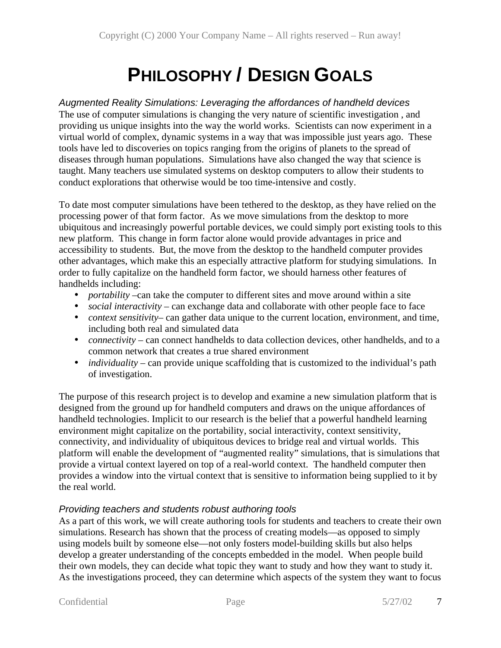# **PHILOSOPHY / DESIGN GOALS**

### *Augmented Reality Simulations: Leveraging the affordances of handheld devices*

The use of computer simulations is changing the very nature of scientific investigation , and providing us unique insights into the way the world works. Scientists can now experiment in a virtual world of complex, dynamic systems in a way that was impossible just years ago. These tools have led to discoveries on topics ranging from the origins of planets to the spread of diseases through human populations. Simulations have also changed the way that science is taught. Many teachers use simulated systems on desktop computers to allow their students to conduct explorations that otherwise would be too time-intensive and costly.

To date most computer simulations have been tethered to the desktop, as they have relied on the processing power of that form factor. As we move simulations from the desktop to more ubiquitous and increasingly powerful portable devices, we could simply port existing tools to this new platform. This change in form factor alone would provide advantages in price and accessibility to students. But, the move from the desktop to the handheld computer provides other advantages, which make this an especially attractive platform for studying simulations. In order to fully capitalize on the handheld form factor, we should harness other features of handhelds including:

- *portability* –can take the computer to different sites and move around within a site
- *social interactivity* can exchange data and collaborate with other people face to face
- *context sensitivity* can gather data unique to the current location, environment, and time, including both real and simulated data
- *connectivity* can connect handhelds to data collection devices, other handhelds, and to a common network that creates a true shared environment
- *individuality* can provide unique scaffolding that is customized to the individual's path of investigation.

The purpose of this research project is to develop and examine a new simulation platform that is designed from the ground up for handheld computers and draws on the unique affordances of handheld technologies. Implicit to our research is the belief that a powerful handheld learning environment might capitalize on the portability, social interactivity, context sensitivity, connectivity, and individuality of ubiquitous devices to bridge real and virtual worlds. This platform will enable the development of "augmented reality" simulations, that is simulations that provide a virtual context layered on top of a real-world context. The handheld computer then provides a window into the virtual context that is sensitive to information being supplied to it by the real world.

### *Providing teachers and students robust authoring tools*

As a part of this work, we will create authoring tools for students and teachers to create their own simulations. Research has shown that the process of creating models—as opposed to simply using models built by someone else—not only fosters model-building skills but also helps develop a greater understanding of the concepts embedded in the model. When people build their own models, they can decide what topic they want to study and how they want to study it. As the investigations proceed, they can determine which aspects of the system they want to focus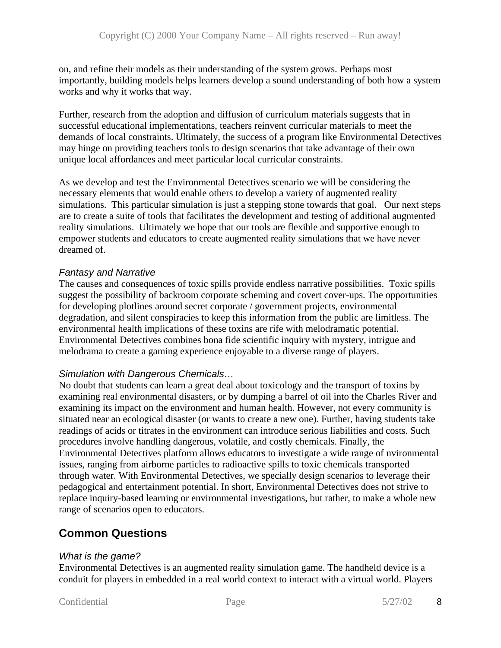on, and refine their models as their understanding of the system grows. Perhaps most importantly, building models helps learners develop a sound understanding of both how a system works and why it works that way.

Further, research from the adoption and diffusion of curriculum materials suggests that in successful educational implementations, teachers reinvent curricular materials to meet the demands of local constraints. Ultimately, the success of a program like Environmental Detectives may hinge on providing teachers tools to design scenarios that take advantage of their own unique local affordances and meet particular local curricular constraints.

As we develop and test the Environmental Detectives scenario we will be considering the necessary elements that would enable others to develop a variety of augmented reality simulations. This particular simulation is just a stepping stone towards that goal. Our next steps are to create a suite of tools that facilitates the development and testing of additional augmented reality simulations. Ultimately we hope that our tools are flexible and supportive enough to empower students and educators to create augmented reality simulations that we have never dreamed of.

### *Fantasy and Narrative*

The causes and consequences of toxic spills provide endless narrative possibilities. Toxic spills suggest the possibility of backroom corporate scheming and covert cover-ups. The opportunities for developing plotlines around secret corporate / government projects, environmental degradation, and silent conspiracies to keep this information from the public are limitless. The environmental health implications of these toxins are rife with melodramatic potential. Environmental Detectives combines bona fide scientific inquiry with mystery, intrigue and melodrama to create a gaming experience enjoyable to a diverse range of players.

### *Simulation with Dangerous Chemicals…*

No doubt that students can learn a great deal about toxicology and the transport of toxins by examining real environmental disasters, or by dumping a barrel of oil into the Charles River and examining its impact on the environment and human health. However, not every community is situated near an ecological disaster (or wants to create a new one). Further, having students take readings of acids or titrates in the environment can introduce serious liabilities and costs. Such procedures involve handling dangerous, volatile, and costly chemicals. Finally, the Environmental Detectives platform allows educators to investigate a wide range of nvironmental issues, ranging from airborne particles to radioactive spills to toxic chemicals transported through water. With Environmental Detectives, we specially design scenarios to leverage their pedagogical and entertainment potential. In short, Environmental Detectives does not strive to replace inquiry-based learning or environmental investigations, but rather, to make a whole new range of scenarios open to educators.

## **Common Questions**

### *What is the game?*

Environmental Detectives is an augmented reality simulation game. The handheld device is a conduit for players in embedded in a real world context to interact with a virtual world. Players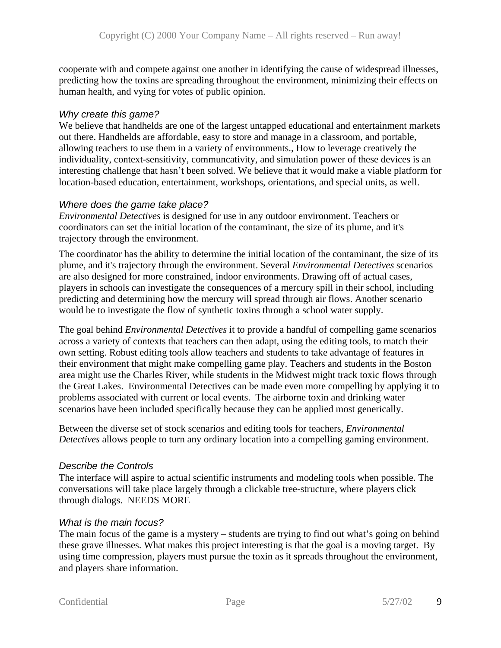cooperate with and compete against one another in identifying the cause of widespread illnesses, predicting how the toxins are spreading throughout the environment, minimizing their effects on human health, and vying for votes of public opinion.

### *Why create this game?*

We believe that handhelds are one of the largest untapped educational and entertainment markets out there. Handhelds are affordable, easy to store and manage in a classroom, and portable, allowing teachers to use them in a variety of environments., How to leverage creatively the individuality, context-sensitivity, communcativity, and simulation power of these devices is an interesting challenge that hasn't been solved. We believe that it would make a viable platform for location-based education, entertainment, workshops, orientations, and special units, as well.

### *Where does the game take place?*

*Environmental Detectives* is designed for use in any outdoor environment. Teachers or coordinators can set the initial location of the contaminant, the size of its plume, and it's trajectory through the environment.

The coordinator has the ability to determine the initial location of the contaminant, the size of its plume, and it's trajectory through the environment. Several *Environmental Detectives* scenarios are also designed for more constrained, indoor environments. Drawing off of actual cases, players in schools can investigate the consequences of a mercury spill in their school, including predicting and determining how the mercury will spread through air flows. Another scenario would be to investigate the flow of synthetic toxins through a school water supply.

The goal behind *Environmental Detectives* it to provide a handful of compelling game scenarios across a variety of contexts that teachers can then adapt, using the editing tools, to match their own setting. Robust editing tools allow teachers and students to take advantage of features in their environment that might make compelling game play. Teachers and students in the Boston area might use the Charles River, while students in the Midwest might track toxic flows through the Great Lakes. Environmental Detectives can be made even more compelling by applying it to problems associated with current or local events. The airborne toxin and drinking water scenarios have been included specifically because they can be applied most generically.

Between the diverse set of stock scenarios and editing tools for teachers, *Environmental Detectives* allows people to turn any ordinary location into a compelling gaming environment.

### *Describe the Controls*

The interface will aspire to actual scientific instruments and modeling tools when possible. The conversations will take place largely through a clickable tree-structure, where players click through dialogs. NEEDS MORE

### *What is the main focus?*

The main focus of the game is a mystery – students are trying to find out what's going on behind these grave illnesses. What makes this project interesting is that the goal is a moving target. By using time compression, players must pursue the toxin as it spreads throughout the environment, and players share information.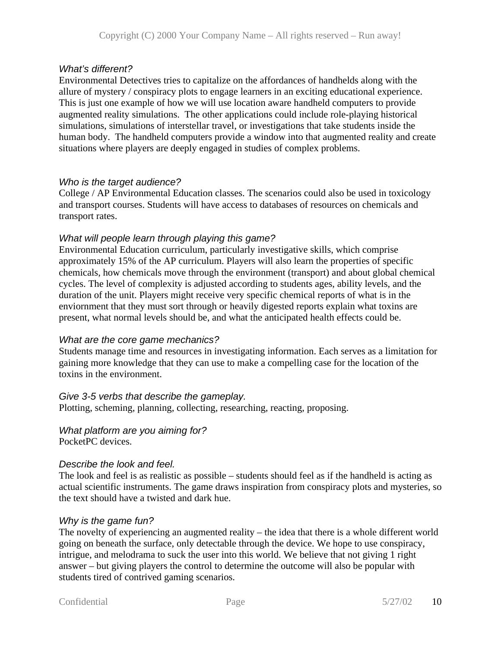### *What's different?*

Environmental Detectives tries to capitalize on the affordances of handhelds along with the allure of mystery / conspiracy plots to engage learners in an exciting educational experience. This is just one example of how we will use location aware handheld computers to provide augmented reality simulations. The other applications could include role-playing historical simulations, simulations of interstellar travel, or investigations that take students inside the human body. The handheld computers provide a window into that augmented reality and create situations where players are deeply engaged in studies of complex problems.

### *Who is the target audience?*

College / AP Environmental Education classes. The scenarios could also be used in toxicology and transport courses. Students will have access to databases of resources on chemicals and transport rates.

### *What will people learn through playing this game?*

Environmental Education curriculum, particularly investigative skills, which comprise approximately 15% of the AP curriculum. Players will also learn the properties of specific chemicals, how chemicals move through the environment (transport) and about global chemical cycles. The level of complexity is adjusted according to students ages, ability levels, and the duration of the unit. Players might receive very specific chemical reports of what is in the enviornment that they must sort through or heavily digested reports explain what toxins are present, what normal levels should be, and what the anticipated health effects could be.

### *What are the core game mechanics?*

Students manage time and resources in investigating information. Each serves as a limitation for gaining more knowledge that they can use to make a compelling case for the location of the toxins in the environment.

### *Give 3-5 verbs that describe the gameplay.*

Plotting, scheming, planning, collecting, researching, reacting, proposing.

### *What platform are you aiming for?*

PocketPC devices.

### *Describe the look and feel.*

The look and feel is as realistic as possible – students should feel as if the handheld is acting as actual scientific instruments. The game draws inspiration from conspiracy plots and mysteries, so the text should have a twisted and dark hue.

### *Why is the game fun?*

The novelty of experiencing an augmented reality – the idea that there is a whole different world going on beneath the surface, only detectable through the device. We hope to use conspiracy, intrigue, and melodrama to suck the user into this world. We believe that not giving 1 right answer – but giving players the control to determine the outcome will also be popular with students tired of contrived gaming scenarios.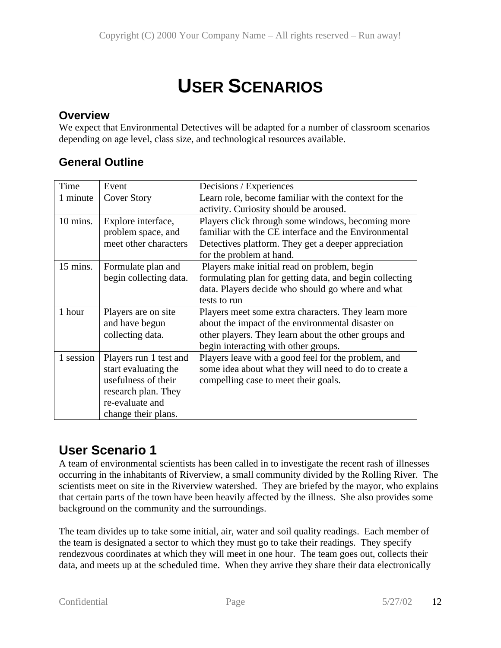# **USER SCENARIOS**

### **Overview**

We expect that Environmental Detectives will be adapted for a number of classroom scenarios depending on age level, class size, and technological resources available.

## **General Outline**

| Time      | Event                  | Decisions / Experiences                                 |
|-----------|------------------------|---------------------------------------------------------|
| 1 minute  | <b>Cover Story</b>     | Learn role, become familiar with the context for the    |
|           |                        | activity. Curiosity should be aroused.                  |
| 10 mins.  | Explore interface,     | Players click through some windows, becoming more       |
|           | problem space, and     | familiar with the CE interface and the Environmental    |
|           | meet other characters  | Detectives platform. They get a deeper appreciation     |
|           |                        | for the problem at hand.                                |
| 15 mins.  | Formulate plan and     | Players make initial read on problem, begin             |
|           | begin collecting data. | formulating plan for getting data, and begin collecting |
|           |                        | data. Players decide who should go where and what       |
|           |                        | tests to run                                            |
| 1 hour    | Players are on site.   | Players meet some extra characters. They learn more     |
|           | and have begun         | about the impact of the environmental disaster on       |
|           | collecting data.       | other players. They learn about the other groups and    |
|           |                        | begin interacting with other groups.                    |
| 1 session | Players run 1 test and | Players leave with a good feel for the problem, and     |
|           | start evaluating the   | some idea about what they will need to do to create a   |
|           | usefulness of their    | compelling case to meet their goals.                    |
|           | research plan. They    |                                                         |
|           | re-evaluate and        |                                                         |
|           | change their plans.    |                                                         |

## **User Scenario 1**

A team of environmental scientists has been called in to investigate the recent rash of illnesses occurring in the inhabitants of Riverview, a small community divided by the Rolling River. The scientists meet on site in the Riverview watershed. They are briefed by the mayor, who explains that certain parts of the town have been heavily affected by the illness. She also provides some background on the community and the surroundings.

The team divides up to take some initial, air, water and soil quality readings. Each member of the team is designated a sector to which they must go to take their readings. They specify rendezvous coordinates at which they will meet in one hour. The team goes out, collects their data, and meets up at the scheduled time. When they arrive they share their data electronically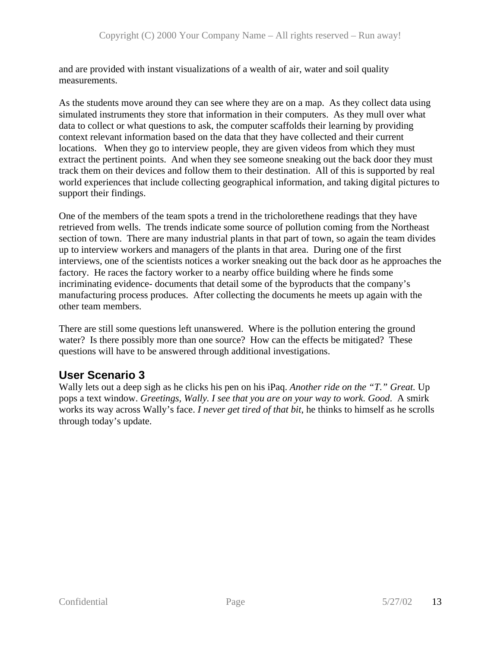and are provided with instant visualizations of a wealth of air, water and soil quality measurements.

As the students move around they can see where they are on a map. As they collect data using simulated instruments they store that information in their computers. As they mull over what data to collect or what questions to ask, the computer scaffolds their learning by providing context relevant information based on the data that they have collected and their current locations. When they go to interview people, they are given videos from which they must extract the pertinent points. And when they see someone sneaking out the back door they must track them on their devices and follow them to their destination. All of this is supported by real world experiences that include collecting geographical information, and taking digital pictures to support their findings.

One of the members of the team spots a trend in the tricholorethene readings that they have retrieved from wells. The trends indicate some source of pollution coming from the Northeast section of town. There are many industrial plants in that part of town, so again the team divides up to interview workers and managers of the plants in that area. During one of the first interviews, one of the scientists notices a worker sneaking out the back door as he approaches the factory. He races the factory worker to a nearby office building where he finds some incriminating evidence- documents that detail some of the byproducts that the company's manufacturing process produces. After collecting the documents he meets up again with the other team members.

There are still some questions left unanswered. Where is the pollution entering the ground water? Is there possibly more than one source? How can the effects be mitigated? These questions will have to be answered through additional investigations.

## **User Scenario 3**

Wally lets out a deep sigh as he clicks his pen on his iPaq. *Another ride on the "T." Great.* Up pops a text window. *Greetings, Wally. I see that you are on your way to work. Good*. A smirk works its way across Wally's face. *I never get tired of that bit*, he thinks to himself as he scrolls through today's update.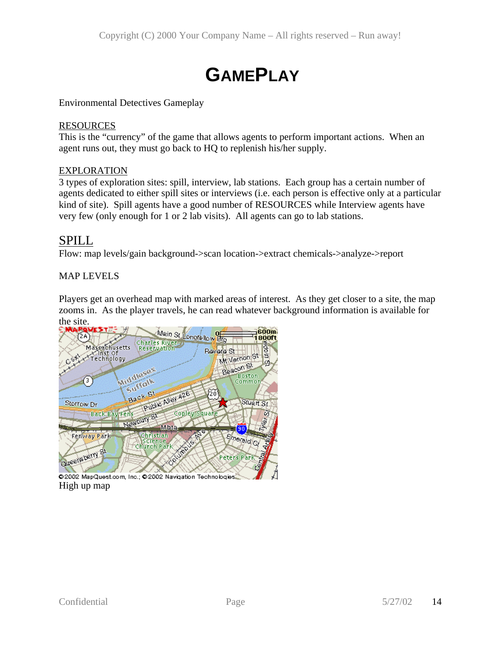# **GAMEPLAY**

#### Environmental Detectives Gameplay

#### RESOURCES

This is the "currency" of the game that allows agents to perform important actions. When an agent runs out, they must go back to HQ to replenish his/her supply.

#### EXPLORATION

3 types of exploration sites: spill, interview, lab stations. Each group has a certain number of agents dedicated to either spill sites or interviews (i.e. each person is effective only at a particular kind of site). Spill agents have a good number of RESOURCES while Interview agents have very few (only enough for 1 or 2 lab visits). All agents can go to lab stations.

### SPILL

Flow: map levels/gain background->scan location->extract chemicals->analyze->report

### MAP LEVELS

Players get an overhead map with marked areas of interest. As they get closer to a site, the map zooms in. As the player travels, he can read whatever background information is available for the site.



02002 MapQuest.com, Inc.; 02002 Navigation Technologies<br>High up map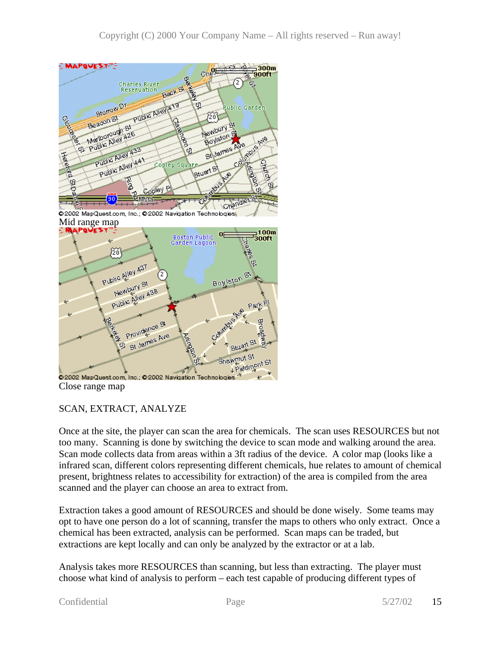

Close range map

### SCAN, EXTRACT, ANALYZE

Once at the site, the player can scan the area for chemicals. The scan uses RESOURCES but not too many. Scanning is done by switching the device to scan mode and walking around the area. Scan mode collects data from areas within a 3ft radius of the device. A color map (looks like a infrared scan, different colors representing different chemicals, hue relates to amount of chemical present, brightness relates to accessibility for extraction) of the area is compiled from the area scanned and the player can choose an area to extract from.

Extraction takes a good amount of RESOURCES and should be done wisely. Some teams may opt to have one person do a lot of scanning, transfer the maps to others who only extract. Once a chemical has been extracted, analysis can be performed. Scan maps can be traded, but extractions are kept locally and can only be analyzed by the extractor or at a lab.

Analysis takes more RESOURCES than scanning, but less than extracting. The player must choose what kind of analysis to perform – each test capable of producing different types of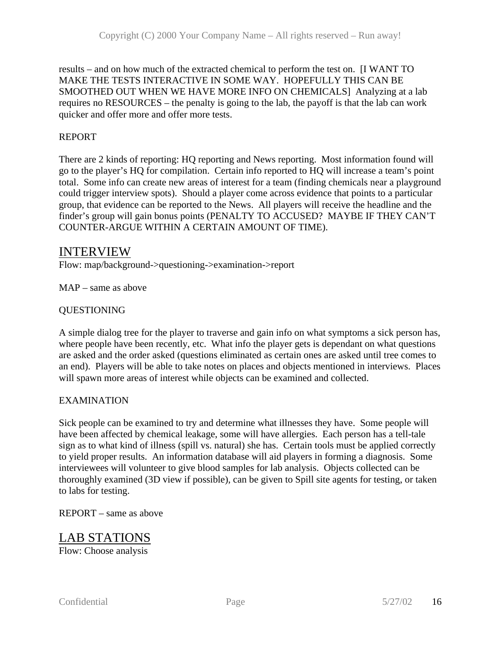results – and on how much of the extracted chemical to perform the test on. [I WANT TO MAKE THE TESTS INTERACTIVE IN SOME WAY. HOPEFULLY THIS CAN BE SMOOTHED OUT WHEN WE HAVE MORE INFO ON CHEMICALS] Analyzing at a lab requires no RESOURCES – the penalty is going to the lab, the payoff is that the lab can work quicker and offer more and offer more tests.

### REPORT

There are 2 kinds of reporting: HQ reporting and News reporting. Most information found will go to the player's HQ for compilation. Certain info reported to HQ will increase a team's point total. Some info can create new areas of interest for a team (finding chemicals near a playground could trigger interview spots). Should a player come across evidence that points to a particular group, that evidence can be reported to the News. All players will receive the headline and the finder's group will gain bonus points (PENALTY TO ACCUSED? MAYBE IF THEY CAN'T COUNTER-ARGUE WITHIN A CERTAIN AMOUNT OF TIME).

### INTERVIEW

Flow: map/background->questioning->examination->report

MAP – same as above

### QUESTIONING

A simple dialog tree for the player to traverse and gain info on what symptoms a sick person has, where people have been recently, etc. What info the player gets is dependant on what questions are asked and the order asked (questions eliminated as certain ones are asked until tree comes to an end). Players will be able to take notes on places and objects mentioned in interviews. Places will spawn more areas of interest while objects can be examined and collected.

### EXAMINATION

Sick people can be examined to try and determine what illnesses they have. Some people will have been affected by chemical leakage, some will have allergies. Each person has a tell-tale sign as to what kind of illness (spill vs. natural) she has. Certain tools must be applied correctly to yield proper results. An information database will aid players in forming a diagnosis. Some interviewees will volunteer to give blood samples for lab analysis. Objects collected can be thoroughly examined (3D view if possible), can be given to Spill site agents for testing, or taken to labs for testing.

REPORT – same as above

### LAB STATIONS

Flow: Choose analysis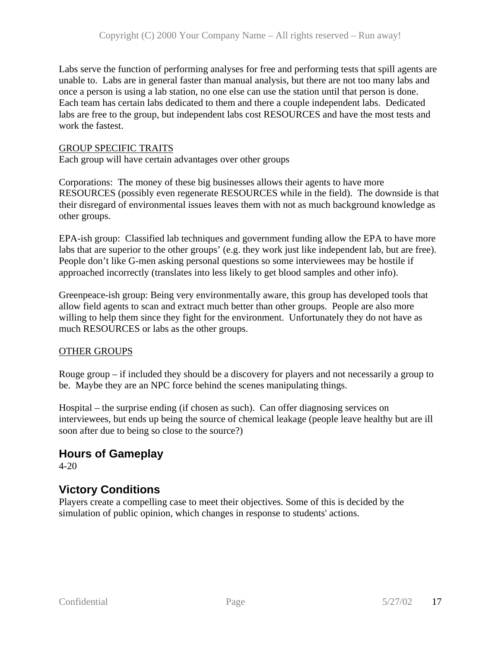Labs serve the function of performing analyses for free and performing tests that spill agents are unable to. Labs are in general faster than manual analysis, but there are not too many labs and once a person is using a lab station, no one else can use the station until that person is done. Each team has certain labs dedicated to them and there a couple independent labs. Dedicated labs are free to the group, but independent labs cost RESOURCES and have the most tests and work the fastest.

### GROUP SPECIFIC TRAITS

Each group will have certain advantages over other groups

Corporations: The money of these big businesses allows their agents to have more RESOURCES (possibly even regenerate RESOURCES while in the field). The downside is that their disregard of environmental issues leaves them with not as much background knowledge as other groups.

EPA-ish group: Classified lab techniques and government funding allow the EPA to have more labs that are superior to the other groups' (e.g. they work just like independent lab, but are free). People don't like G-men asking personal questions so some interviewees may be hostile if approached incorrectly (translates into less likely to get blood samples and other info).

Greenpeace-ish group: Being very environmentally aware, this group has developed tools that allow field agents to scan and extract much better than other groups. People are also more willing to help them since they fight for the environment. Unfortunately they do not have as much RESOURCES or labs as the other groups.

### OTHER GROUPS

Rouge group – if included they should be a discovery for players and not necessarily a group to be. Maybe they are an NPC force behind the scenes manipulating things.

Hospital – the surprise ending (if chosen as such). Can offer diagnosing services on interviewees, but ends up being the source of chemical leakage (people leave healthy but are ill soon after due to being so close to the source?)

### **Hours of Gameplay**

4-20

## **Victory Conditions**

Players create a compelling case to meet their objectives. Some of this is decided by the simulation of public opinion, which changes in response to students' actions.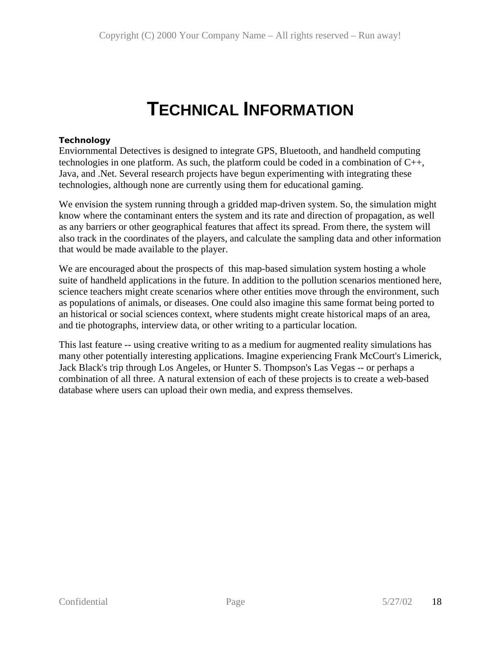# **TECHNICAL INFORMATION**

### **Technology**

Enviornmental Detectives is designed to integrate GPS, Bluetooth, and handheld computing technologies in one platform. As such, the platform could be coded in a combination of C++, Java, and .Net. Several research projects have begun experimenting with integrating these technologies, although none are currently using them for educational gaming.

We envision the system running through a gridded map-driven system. So, the simulation might know where the contaminant enters the system and its rate and direction of propagation, as well as any barriers or other geographical features that affect its spread. From there, the system will also track in the coordinates of the players, and calculate the sampling data and other information that would be made available to the player.

We are encouraged about the prospects of this map-based simulation system hosting a whole suite of handheld applications in the future. In addition to the pollution scenarios mentioned here, science teachers might create scenarios where other entities move through the environment, such as populations of animals, or diseases. One could also imagine this same format being ported to an historical or social sciences context, where students might create historical maps of an area, and tie photographs, interview data, or other writing to a particular location.

This last feature -- using creative writing to as a medium for augmented reality simulations has many other potentially interesting applications. Imagine experiencing Frank McCourt's Limerick, Jack Black's trip through Los Angeles, or Hunter S. Thompson's Las Vegas -- or perhaps a combination of all three. A natural extension of each of these projects is to create a web-based database where users can upload their own media, and express themselves.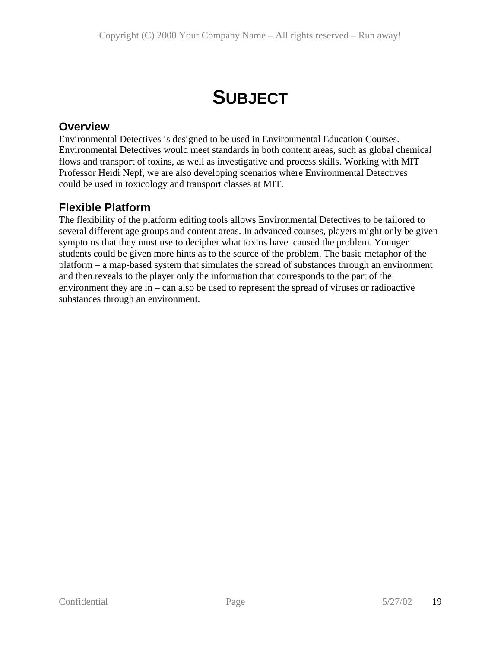# **SUBJECT**

### **Overview**

Environmental Detectives is designed to be used in Environmental Education Courses. Environmental Detectives would meet standards in both content areas, such as global chemical flows and transport of toxins, as well as investigative and process skills. Working with MIT Professor Heidi Nepf, we are also developing scenarios where Environmental Detectives could be used in toxicology and transport classes at MIT.

### **Flexible Platform**

The flexibility of the platform editing tools allows Environmental Detectives to be tailored to several different age groups and content areas. In advanced courses, players might only be given symptoms that they must use to decipher what toxins have caused the problem. Younger students could be given more hints as to the source of the problem. The basic metaphor of the platform – a map-based system that simulates the spread of substances through an environment and then reveals to the player only the information that corresponds to the part of the environment they are in – can also be used to represent the spread of viruses or radioactive substances through an environment.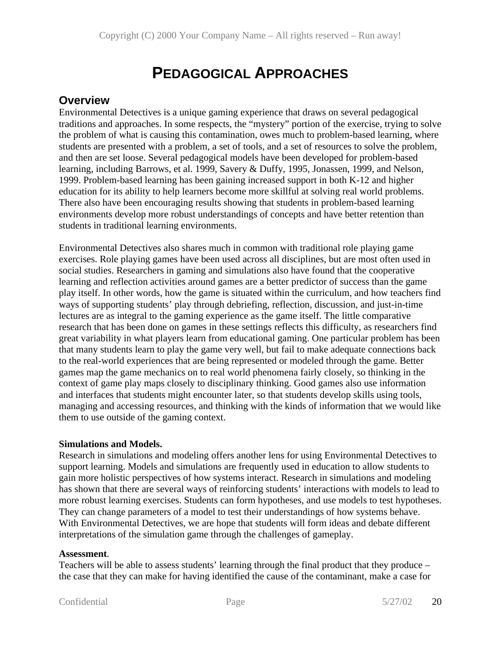## **PEDAGOGICAL APPROACHES**

### **Overview**

Environmental Detectives is a unique gaming experience that draws on several pedagogical traditions and approaches. In some respects, the "mystery" portion of the exercise, trying to solve the problem of what is causing this contamination, owes much to problem-based learning, where students are presented with a problem, a set of tools, and a set of resources to solve the problem, and then are set loose. Several pedagogical models have been developed for problem-based learning, including Barrows, et al. 1999, Savery & Duffy, 1995, Jonassen, 1999, and Nelson, 1999. Problem-based learning has been gaining increased support in both K-12 and higher education for its ability to help learners become more skillful at solving real world problems. There also have been encouraging results showing that students in problem-based learning environments develop more robust understandings of concepts and have better retention than students in traditional learning environments.

Environmental Detectives also shares much in common with traditional role playing game exercises. Role playing games have been used across all disciplines, but are most often used in social studies. Researchers in gaming and simulations also have found that the cooperative learning and reflection activities around games are a better predictor of success than the game play itself. In other words, how the game is situated within the curriculum, and how teachers find ways of supporting students' play through debriefing, reflection, discussion, and just-in-time lectures are as integral to the gaming experience as the game itself. The little comparative research that has been done on games in these settings reflects this difficulty, as researchers find great variability in what players learn from educational gaming. One particular problem has been that many students learn to play the game very well, but fail to make adequate connections back to the real-world experiences that are being represented or modeled through the game. Better games map the game mechanics on to real world phenomena fairly closely, so thinking in the context of game play maps closely to disciplinary thinking. Good games also use information and interfaces that students might encounter later, so that students develop skills using tools, managing and accessing resources, and thinking with the kinds of information that we would like them to use outside of the gaming context.

### **Simulations and Models.**

Research in simulations and modeling offers another lens for using Environmental Detectives to support learning. Models and simulations are frequently used in education to allow students to gain more holistic perspectives of how systems interact. Research in simulations and modeling has shown that there are several ways of reinforcing students' interactions with models to lead to more robust learning exercises. Students can form hypotheses, and use models to test hypotheses. They can change parameters of a model to test their understandings of how systems behave. With Environmental Detectives, we are hope that students will form ideas and debate different interpretations of the simulation game through the challenges of gameplay.

### **Assessment**.

Teachers will be able to assess students' learning through the final product that they produce – the case that they can make for having identified the cause of the contaminant, make a case for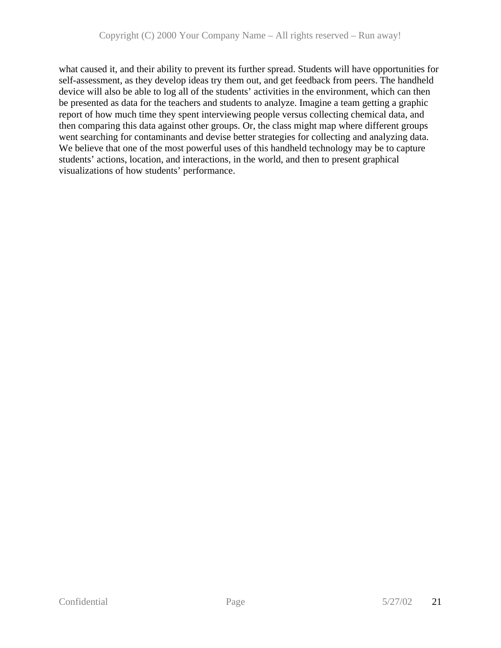what caused it, and their ability to prevent its further spread. Students will have opportunities for self-assessment, as they develop ideas try them out, and get feedback from peers. The handheld device will also be able to log all of the students' activities in the environment, which can then be presented as data for the teachers and students to analyze. Imagine a team getting a graphic report of how much time they spent interviewing people versus collecting chemical data, and then comparing this data against other groups. Or, the class might map where different groups went searching for contaminants and devise better strategies for collecting and analyzing data. We believe that one of the most powerful uses of this handheld technology may be to capture students' actions, location, and interactions, in the world, and then to present graphical visualizations of how students' performance.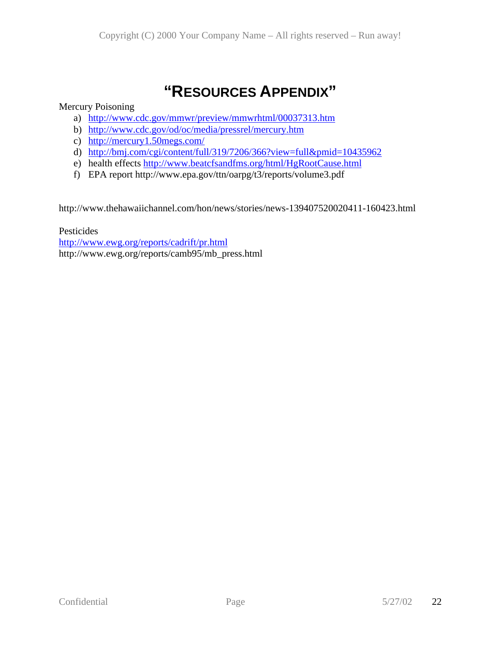## **"RESOURCES APPENDIX"**

Mercury Poisoning

- a) http://www.cdc.gov/mmwr/preview/mmwrhtml/00037313.htm
- b) http://www.cdc.gov/od/oc/media/pressrel/mercury.htm
- c) http://mercury1.50megs.com/
- d) http://bmj.com/cgi/content/full/319/7206/366?view=full&pmid=10435962
- e) health effects http://www.beatcfsandfms.org/html/HgRootCause.html
- f) EPA report http://www.epa.gov/ttn/oarpg/t3/reports/volume3.pdf

http://www.thehawaiichannel.com/hon/news/stories/news-139407520020411-160423.html

**Pesticides** http://www.ewg.org/reports/cadrift/pr.html http://www.ewg.org/reports/camb95/mb\_press.html